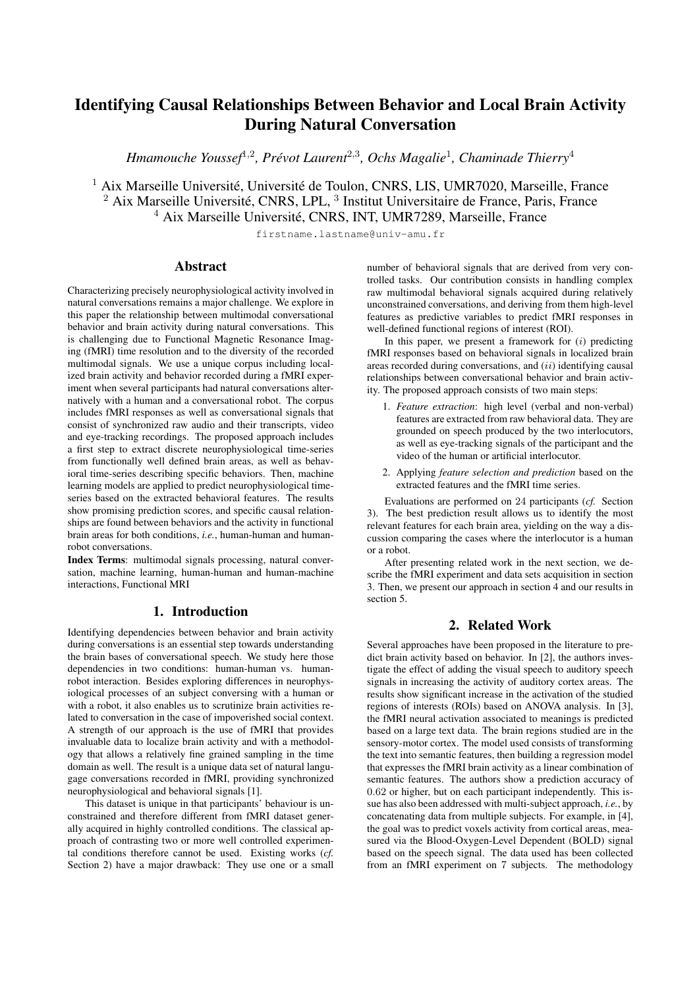# Identifying Causal Relationships Between Behavior and Local Brain Activity During Natural Conversation

*Hmamouche Youssef*<sup>1</sup>,<sup>2</sup> *, Prévot Laurent*<sup>2</sup>,<sup>3</sup> *, Ochs Magalie*<sup>1</sup> *, Chaminade Thierry*<sup>4</sup>

<sup>1</sup> Aix Marseille Université, Université de Toulon, CNRS, LIS, UMR7020, Marseille, France <sup>2</sup> Aix Marseille Université, CNRS, LPL, <sup>3</sup> Institut Universitaire de France, Paris, France <sup>4</sup> Aix Marseille Université, CNRS, INT, UMR7289, Marseille, France

firstname.lastname@univ-amu.fr

# Abstract

Characterizing precisely neurophysiological activity involved in natural conversations remains a major challenge. We explore in this paper the relationship between multimodal conversational behavior and brain activity during natural conversations. This is challenging due to Functional Magnetic Resonance Imaging (fMRI) time resolution and to the diversity of the recorded multimodal signals. We use a unique corpus including localized brain activity and behavior recorded during a fMRI experiment when several participants had natural conversations alternatively with a human and a conversational robot. The corpus includes fMRI responses as well as conversational signals that consist of synchronized raw audio and their transcripts, video and eye-tracking recordings. The proposed approach includes a first step to extract discrete neurophysiological time-series from functionally well defined brain areas, as well as behavioral time-series describing specific behaviors. Then, machine learning models are applied to predict neurophysiological timeseries based on the extracted behavioral features. The results show promising prediction scores, and specific causal relationships are found between behaviors and the activity in functional brain areas for both conditions, *i.e.*, human-human and humanrobot conversations.

Index Terms: multimodal signals processing, natural conversation, machine learning, human-human and human-machine interactions, Functional MRI

# 1. Introduction

Identifying dependencies between behavior and brain activity during conversations is an essential step towards understanding the brain bases of conversational speech. We study here those dependencies in two conditions: human-human vs. humanrobot interaction. Besides exploring differences in neurophysiological processes of an subject conversing with a human or with a robot, it also enables us to scrutinize brain activities related to conversation in the case of impoverished social context. A strength of our approach is the use of fMRI that provides invaluable data to localize brain activity and with a methodology that allows a relatively fine grained sampling in the time domain as well. The result is a unique data set of natural langugage conversations recorded in fMRI, providing synchronized neurophysiological and behavioral signals [1].

This dataset is unique in that participants' behaviour is unconstrained and therefore different from fMRI dataset generally acquired in highly controlled conditions. The classical approach of contrasting two or more well controlled experimental conditions therefore cannot be used. Existing works (*cf.* Section 2) have a major drawback: They use one or a small number of behavioral signals that are derived from very controlled tasks. Our contribution consists in handling complex raw multimodal behavioral signals acquired during relatively unconstrained conversations, and deriving from them high-level features as predictive variables to predict fMRI responses in well-defined functional regions of interest (ROI).

In this paper, we present a framework for  $(i)$  predicting fMRI responses based on behavioral signals in localized brain areas recorded during conversations, and  $(ii)$  identifying causal relationships between conversational behavior and brain activity. The proposed approach consists of two main steps:

- 1. *Feature extraction*: high level (verbal and non-verbal) features are extracted from raw behavioral data. They are grounded on speech produced by the two interlocutors, as well as eye-tracking signals of the participant and the video of the human or artificial interlocutor.
- 2. Applying *feature selection and prediction* based on the extracted features and the fMRI time series.

Evaluations are performed on 24 participants (*cf.* Section 3). The best prediction result allows us to identify the most relevant features for each brain area, yielding on the way a discussion comparing the cases where the interlocutor is a human or a robot.

After presenting related work in the next section, we describe the fMRI experiment and data sets acquisition in section 3. Then, we present our approach in section 4 and our results in section 5.

# 2. Related Work

Several approaches have been proposed in the literature to predict brain activity based on behavior. In [2], the authors investigate the effect of adding the visual speech to auditory speech signals in increasing the activity of auditory cortex areas. The results show significant increase in the activation of the studied regions of interests (ROIs) based on ANOVA analysis. In [3], the fMRI neural activation associated to meanings is predicted based on a large text data. The brain regions studied are in the sensory-motor cortex. The model used consists of transforming the text into semantic features, then building a regression model that expresses the fMRI brain activity as a linear combination of semantic features. The authors show a prediction accuracy of 0.62 or higher, but on each participant independently. This issue has also been addressed with multi-subject approach, *i.e.*, by concatenating data from multiple subjects. For example, in [4], the goal was to predict voxels activity from cortical areas, measured via the Blood-Oxygen-Level Dependent (BOLD) signal based on the speech signal. The data used has been collected from an fMRI experiment on 7 subjects. The methodology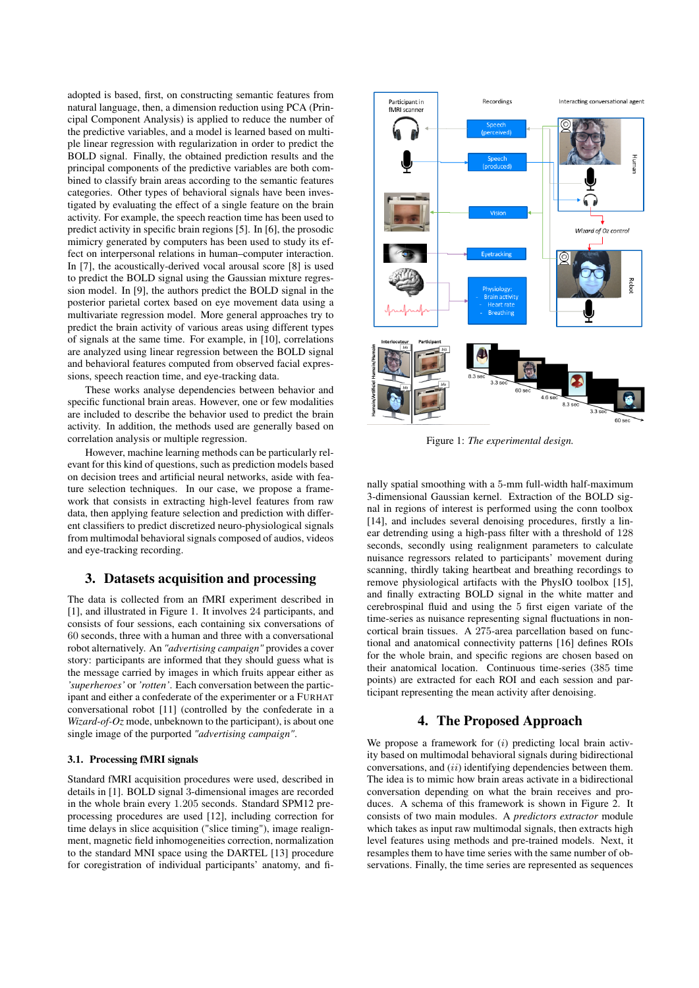adopted is based, first, on constructing semantic features from natural language, then, a dimension reduction using PCA (Principal Component Analysis) is applied to reduce the number of the predictive variables, and a model is learned based on multiple linear regression with regularization in order to predict the BOLD signal. Finally, the obtained prediction results and the principal components of the predictive variables are both combined to classify brain areas according to the semantic features categories. Other types of behavioral signals have been investigated by evaluating the effect of a single feature on the brain activity. For example, the speech reaction time has been used to predict activity in specific brain regions [5]. In [6], the prosodic mimicry generated by computers has been used to study its effect on interpersonal relations in human–computer interaction. In [7], the acoustically-derived vocal arousal score [8] is used to predict the BOLD signal using the Gaussian mixture regression model. In [9], the authors predict the BOLD signal in the posterior parietal cortex based on eye movement data using a multivariate regression model. More general approaches try to predict the brain activity of various areas using different types of signals at the same time. For example, in [10], correlations are analyzed using linear regression between the BOLD signal and behavioral features computed from observed facial expressions, speech reaction time, and eye-tracking data.

These works analyse dependencies between behavior and specific functional brain areas. However, one or few modalities are included to describe the behavior used to predict the brain activity. In addition, the methods used are generally based on correlation analysis or multiple regression.

However, machine learning methods can be particularly relevant for this kind of questions, such as prediction models based on decision trees and artificial neural networks, aside with feature selection techniques. In our case, we propose a framework that consists in extracting high-level features from raw data, then applying feature selection and prediction with different classifiers to predict discretized neuro-physiological signals from multimodal behavioral signals composed of audios, videos and eye-tracking recording.

# 3. Datasets acquisition and processing

The data is collected from an fMRI experiment described in [1], and illustrated in Figure 1. It involves 24 participants, and consists of four sessions, each containing six conversations of 60 seconds, three with a human and three with a conversational robot alternatively. An *"advertising campaign"* provides a cover story: participants are informed that they should guess what is the message carried by images in which fruits appear either as *'superheroes'* or *'rotten'*. Each conversation between the participant and either a confederate of the experimenter or a FURHAT conversational robot [11] (controlled by the confederate in a *Wizard-of-Oz* mode, unbeknown to the participant), is about one single image of the purported *"advertising campaign"*.

### 3.1. Processing fMRI signals

Standard fMRI acquisition procedures were used, described in details in [1]. BOLD signal 3-dimensional images are recorded in the whole brain every 1.205 seconds. Standard SPM12 preprocessing procedures are used [12], including correction for time delays in slice acquisition ("slice timing"), image realignment, magnetic field inhomogeneities correction, normalization to the standard MNI space using the DARTEL [13] procedure for coregistration of individual participants' anatomy, and fi-



Figure 1: *The experimental design.*

nally spatial smoothing with a 5-mm full-width half-maximum 3-dimensional Gaussian kernel. Extraction of the BOLD signal in regions of interest is performed using the conn toolbox [14], and includes several denoising procedures, firstly a linear detrending using a high-pass filter with a threshold of 128 seconds, secondly using realignment parameters to calculate nuisance regressors related to participants' movement during scanning, thirdly taking heartbeat and breathing recordings to remove physiological artifacts with the PhysIO toolbox [15], and finally extracting BOLD signal in the white matter and cerebrospinal fluid and using the 5 first eigen variate of the time-series as nuisance representing signal fluctuations in noncortical brain tissues. A 275-area parcellation based on functional and anatomical connectivity patterns [16] defines ROIs for the whole brain, and specific regions are chosen based on their anatomical location. Continuous time-series (385 time points) are extracted for each ROI and each session and participant representing the mean activity after denoising.

### 4. The Proposed Approach

We propose a framework for  $(i)$  predicting local brain activity based on multimodal behavioral signals during bidirectional conversations, and  $(ii)$  identifying dependencies between them. The idea is to mimic how brain areas activate in a bidirectional conversation depending on what the brain receives and produces. A schema of this framework is shown in Figure 2. It consists of two main modules. A *predictors extractor* module which takes as input raw multimodal signals, then extracts high level features using methods and pre-trained models. Next, it resamples them to have time series with the same number of observations. Finally, the time series are represented as sequences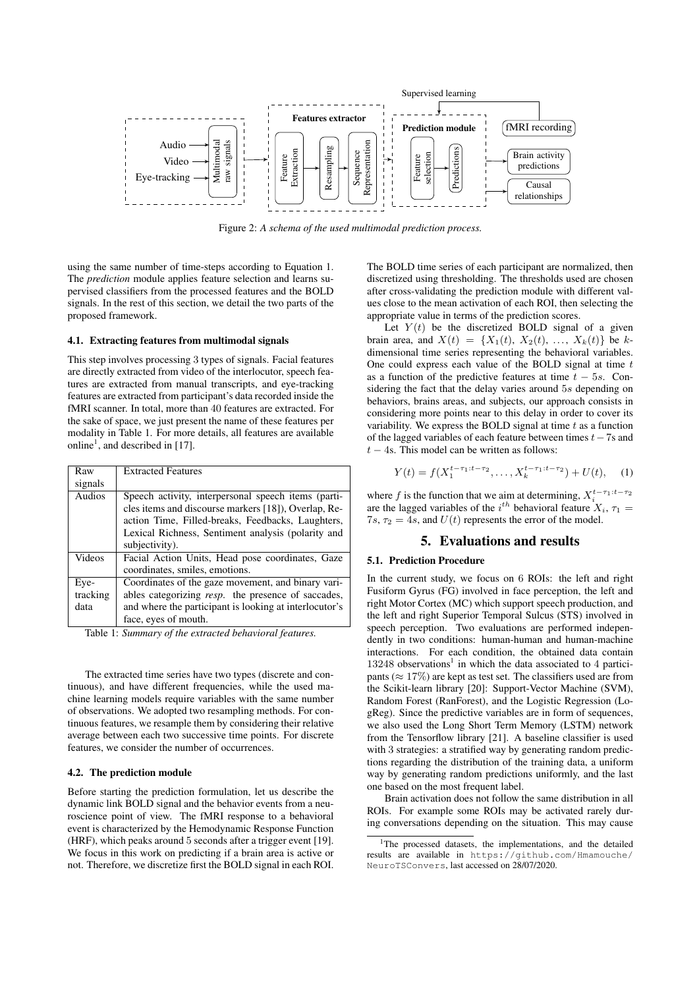

Figure 2: *A schema of the used multimodal prediction process.*

using the same number of time-steps according to Equation 1. The *prediction* module applies feature selection and learns supervised classifiers from the processed features and the BOLD signals. In the rest of this section, we detail the two parts of the proposed framework.

### 4.1. Extracting features from multimodal signals

This step involves processing 3 types of signals. Facial features are directly extracted from video of the interlocutor, speech features are extracted from manual transcripts, and eye-tracking features are extracted from participant's data recorded inside the fMRI scanner. In total, more than 40 features are extracted. For the sake of space, we just present the name of these features per modality in Table 1. For more details, all features are available online<sup>1</sup>, and described in [17].

| <b>Extracted Features</b>                              |  |  |  |  |  |  |
|--------------------------------------------------------|--|--|--|--|--|--|
|                                                        |  |  |  |  |  |  |
| Speech activity, interpersonal speech items (parti-    |  |  |  |  |  |  |
| cles items and discourse markers [18]), Overlap, Re-   |  |  |  |  |  |  |
| action Time, Filled-breaks, Feedbacks, Laughters,      |  |  |  |  |  |  |
| Lexical Richness, Sentiment analysis (polarity and     |  |  |  |  |  |  |
| subjectivity).                                         |  |  |  |  |  |  |
| Facial Action Units, Head pose coordinates, Gaze       |  |  |  |  |  |  |
| coordinates, smiles, emotions.                         |  |  |  |  |  |  |
| Coordinates of the gaze movement, and binary vari-     |  |  |  |  |  |  |
| ables categorizing resp. the presence of saccades,     |  |  |  |  |  |  |
| and where the participant is looking at interlocutor's |  |  |  |  |  |  |
| face, eyes of mouth.                                   |  |  |  |  |  |  |
|                                                        |  |  |  |  |  |  |

Table 1: *Summary of the extracted behavioral features.*

The extracted time series have two types (discrete and continuous), and have different frequencies, while the used machine learning models require variables with the same number of observations. We adopted two resampling methods. For continuous features, we resample them by considering their relative average between each two successive time points. For discrete features, we consider the number of occurrences.

#### 4.2. The prediction module

Before starting the prediction formulation, let us describe the dynamic link BOLD signal and the behavior events from a neuroscience point of view. The fMRI response to a behavioral event is characterized by the Hemodynamic Response Function (HRF), which peaks around 5 seconds after a trigger event [19]. We focus in this work on predicting if a brain area is active or not. Therefore, we discretize first the BOLD signal in each ROI. The BOLD time series of each participant are normalized, then discretized using thresholding. The thresholds used are chosen after cross-validating the prediction module with different values close to the mean activation of each ROI, then selecting the appropriate value in terms of the prediction scores.

Let  $Y(t)$  be the discretized BOLD signal of a given brain area, and  $X(t) = \{X_1(t), X_2(t), \ldots, X_k(t)\}\)$  be kdimensional time series representing the behavioral variables. One could express each value of the BOLD signal at time  $t$ as a function of the predictive features at time  $t - 5s$ . Considering the fact that the delay varies around 5s depending on behaviors, brains areas, and subjects, our approach consists in considering more points near to this delay in order to cover its variability. We express the BOLD signal at time  $t$  as a function of the lagged variables of each feature between times  $t-7s$  and  $t - 4s$ . This model can be written as follows:

$$
Y(t) = f(X_1^{t-\tau_1:t-\tau_2}, \dots, X_k^{t-\tau_1:t-\tau_2}) + U(t), \quad (1)
$$

where f is the function that we aim at determining,  $X_i^{t-\tau_1:t-\tau_2}$ are the lagged variables of the i<sup>th</sup> behavioral feature  $X_i$ ,  $\tau_1$ 7s,  $\tau_2 = 4s$ , and  $U(t)$  represents the error of the model.

### 5. Evaluations and results

### 5.1. Prediction Procedure

In the current study, we focus on 6 ROIs: the left and right Fusiform Gyrus (FG) involved in face perception, the left and right Motor Cortex (MC) which support speech production, and the left and right Superior Temporal Sulcus (STS) involved in speech perception. Two evaluations are performed independently in two conditions: human-human and human-machine interactions. For each condition, the obtained data contain  $13248$  observations<sup>1</sup> in which the data associated to 4 participants ( $\approx 17\%$ ) are kept as test set. The classifiers used are from the Scikit-learn library [20]: Support-Vector Machine (SVM), Random Forest (RanForest), and the Logistic Regression (LogReg). Since the predictive variables are in form of sequences, we also used the Long Short Term Memory (LSTM) network from the Tensorflow library [21]. A baseline classifier is used with 3 strategies: a stratified way by generating random predictions regarding the distribution of the training data, a uniform way by generating random predictions uniformly, and the last one based on the most frequent label.

Brain activation does not follow the same distribution in all ROIs. For example some ROIs may be activated rarely during conversations depending on the situation. This may cause

<sup>&</sup>lt;sup>1</sup>The processed datasets, the implementations, and the detailed results are available in https://github.com/Hmamouche/ NeuroTSConvers, last accessed on 28/07/2020.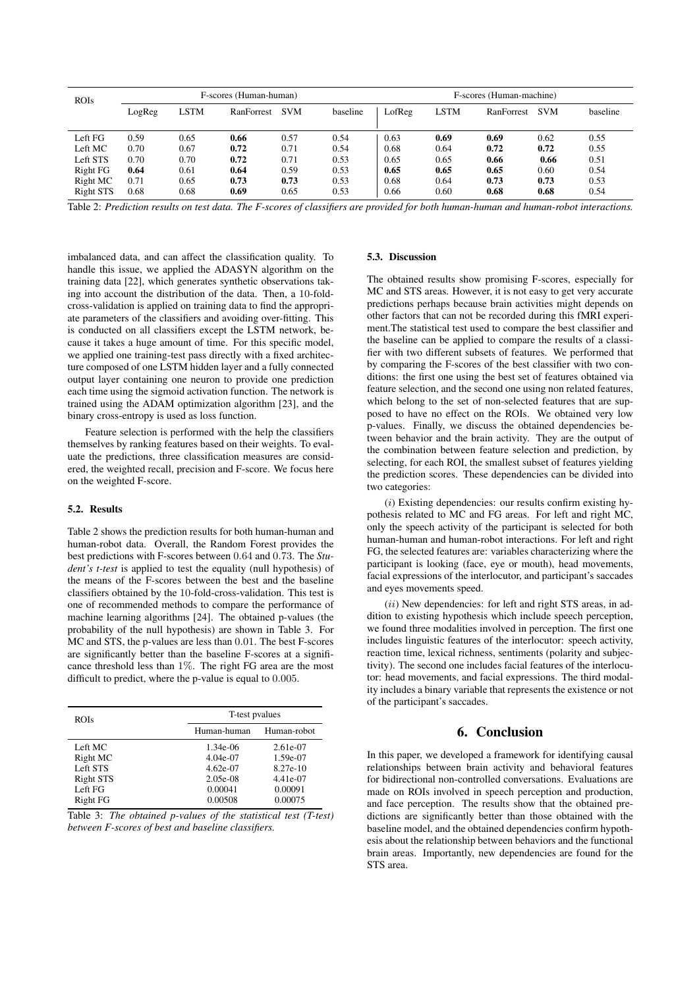| <b>ROIs</b>      | F-scores (Human-human) |      |            |            | F-scores (Human-machine) |        |             |            |            |          |
|------------------|------------------------|------|------------|------------|--------------------------|--------|-------------|------------|------------|----------|
|                  | LogReg                 | LSTM | RanForrest | <b>SVM</b> | baseline                 | LofReg | <b>LSTM</b> | RanForrest | <b>SVM</b> | baseline |
|                  |                        |      |            |            |                          |        |             |            |            |          |
| Left FG          | 0.59                   | 0.65 | 0.66       | 0.57       | 0.54                     | 0.63   | 0.69        | 0.69       | 0.62       | 0.55     |
| Left MC          | 0.70                   | 0.67 | 0.72       | 0.71       | 0.54                     | 0.68   | 0.64        | 0.72       | 0.72       | 0.55     |
| Left STS         | 0.70                   | 0.70 | 0.72       | 0.71       | 0.53                     | 0.65   | 0.65        | 0.66       | 0.66       | 0.51     |
| Right FG         | 0.64                   | 0.61 | 0.64       | 0.59       | 0.53                     | 0.65   | 0.65        | 0.65       | 0.60       | 0.54     |
| Right MC         | 0.71                   | 0.65 | 0.73       | 0.73       | 0.53                     | 0.68   | 0.64        | 0.73       | 0.73       | 0.53     |
| <b>Right STS</b> | 0.68                   | 0.68 | 0.69       | 0.65       | 0.53                     | 0.66   | 0.60        | 0.68       | 0.68       | 0.54     |

Table 2: *Prediction results on test data. The F-scores of classifiers are provided for both human-human and human-robot interactions.*

imbalanced data, and can affect the classification quality. To handle this issue, we applied the ADASYN algorithm on the training data [22], which generates synthetic observations taking into account the distribution of the data. Then, a 10-foldcross-validation is applied on training data to find the appropriate parameters of the classifiers and avoiding over-fitting. This is conducted on all classifiers except the LSTM network, because it takes a huge amount of time. For this specific model, we applied one training-test pass directly with a fixed architecture composed of one LSTM hidden layer and a fully connected output layer containing one neuron to provide one prediction each time using the sigmoid activation function. The network is trained using the ADAM optimization algorithm [23], and the binary cross-entropy is used as loss function.

Feature selection is performed with the help the classifiers themselves by ranking features based on their weights. To evaluate the predictions, three classification measures are considered, the weighted recall, precision and F-score. We focus here on the weighted F-score.

### 5.2. Results

Table 2 shows the prediction results for both human-human and human-robot data. Overall, the Random Forest provides the best predictions with F-scores between 0.64 and 0.73. The *Student's t-test* is applied to test the equality (null hypothesis) of the means of the F-scores between the best and the baseline classifiers obtained by the 10-fold-cross-validation. This test is one of recommended methods to compare the performance of machine learning algorithms [24]. The obtained p-values (the probability of the null hypothesis) are shown in Table 3. For MC and STS, the p-values are less than 0.01. The best F-scores are significantly better than the baseline F-scores at a significance threshold less than 1%. The right FG area are the most difficult to predict, where the p-value is equal to 0.005.

| <b>ROIs</b> |             | T-test pyalues |  |  |  |
|-------------|-------------|----------------|--|--|--|
|             | Human-human | Human-robot    |  |  |  |
| Left MC     | 1.34e-06    | 2.61e-07       |  |  |  |
| Right MC    | $4.04e-07$  | 1.59e-07       |  |  |  |
| Left STS    | $4.62e-07$  | 8.27e-10       |  |  |  |
| Right STS   | $2.05e-08$  | 4.41e-07       |  |  |  |
| Left FG     | 0.00041     | 0.00091        |  |  |  |
| Right FG    | 0.00508     | 0.00075        |  |  |  |



#### 5.3. Discussion

The obtained results show promising F-scores, especially for MC and STS areas. However, it is not easy to get very accurate predictions perhaps because brain activities might depends on other factors that can not be recorded during this fMRI experiment.The statistical test used to compare the best classifier and the baseline can be applied to compare the results of a classifier with two different subsets of features. We performed that by comparing the F-scores of the best classifier with two conditions: the first one using the best set of features obtained via feature selection, and the second one using non related features, which belong to the set of non-selected features that are supposed to have no effect on the ROIs. We obtained very low p-values. Finally, we discuss the obtained dependencies between behavior and the brain activity. They are the output of the combination between feature selection and prediction, by selecting, for each ROI, the smallest subset of features yielding the prediction scores. These dependencies can be divided into two categories:

 $(i)$  Existing dependencies: our results confirm existing hypothesis related to MC and FG areas. For left and right MC, only the speech activity of the participant is selected for both human-human and human-robot interactions. For left and right FG, the selected features are: variables characterizing where the participant is looking (face, eye or mouth), head movements, facial expressions of the interlocutor, and participant's saccades and eyes movements speed.

 $(ii)$  New dependencies: for left and right STS areas, in addition to existing hypothesis which include speech perception, we found three modalities involved in perception. The first one includes linguistic features of the interlocutor: speech activity, reaction time, lexical richness, sentiments (polarity and subjectivity). The second one includes facial features of the interlocutor: head movements, and facial expressions. The third modality includes a binary variable that represents the existence or not of the participant's saccades.

# 6. Conclusion

In this paper, we developed a framework for identifying causal relationships between brain activity and behavioral features for bidirectional non-controlled conversations. Evaluations are made on ROIs involved in speech perception and production, and face perception. The results show that the obtained predictions are significantly better than those obtained with the baseline model, and the obtained dependencies confirm hypothesis about the relationship between behaviors and the functional brain areas. Importantly, new dependencies are found for the STS area.